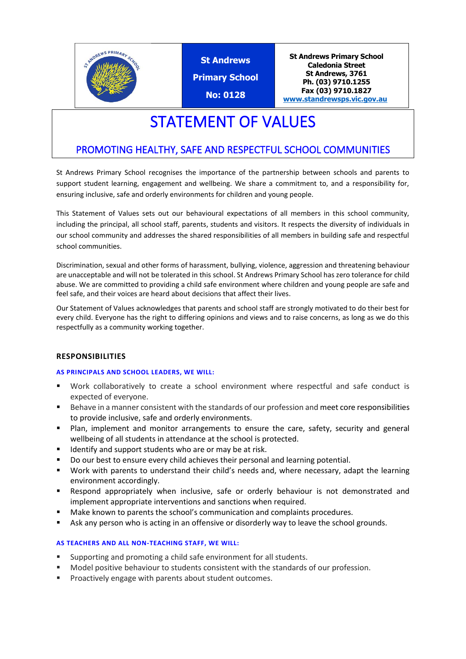

**St Andrews Primary School No: 0128**

**St Andrews Primary School Caledonia Street St Andrews, 3761 Ph. (03) 9710.1255 Fax (03) 9710.1827 [www.standrewsps.vic.gov.au](http://www.standrewsps.vic.gov.au/)**

# STATEMENT OF VALUES

## PROMOTING HEALTHY, SAFE AND RESPECTFUL SCHOOL COMMUNITIES

St Andrews Primary School recognises the importance of the partnership between schools and parents to support student learning, engagement and wellbeing. We share a commitment to, and a responsibility for, ensuring inclusive, safe and orderly environments for children and young people.

This Statement of Values sets out our behavioural expectations of all members in this school community, including the principal, all school staff, parents, students and visitors. It respects the diversity of individuals in our school community and addresses the shared responsibilities of all members in building safe and respectful school communities.

Discrimination, sexual and other forms of harassment, bullying, violence, aggression and threatening behaviour are unacceptable and will not be tolerated in this school. St Andrews Primary School has zero tolerance for child abuse. We are committed to providing a child safe environment where children and young people are safe and feel safe, and their voices are heard about decisions that affect their lives.

Our Statement of Values acknowledges that parents and school staff are strongly motivated to do their best for every child. Everyone has the right to differing opinions and views and to raise concerns, as long as we do this respectfully as a community working together.

#### **RESPONSIBILITIES**

#### **AS PRINCIPALS AND SCHOOL LEADERS, WE WILL:**

- Work collaboratively to create a school environment where respectful and safe conduct is expected of everyone.
- Behave in a manner consistent with the standards of our profession and meet core responsibilities to provide inclusive, safe and orderly environments.
- Plan, implement and monitor arrangements to ensure the care, safety, security and general wellbeing of all students in attendance at the school is protected.
- Identify and support students who are or may be at risk.
- Do our best to ensure every child achieves their personal and learning potential.
- Work with parents to understand their child's needs and, where necessary, adapt the learning environment accordingly.
- Respond appropriately when inclusive, safe or orderly behaviour is not demonstrated and implement appropriate interventions and sanctions when required.
- Make known to parents the school's communication and complaints procedures.
- Ask any person who is acting in an offensive or disorderly way to leave the school grounds.

#### **AS TEACHERS AND ALL NON-TEACHING STAFF, WE WILL:**

- Supporting and promoting a child safe environment for all students.
- Model positive behaviour to students consistent with the standards of our profession.
- Proactively engage with parents about student outcomes.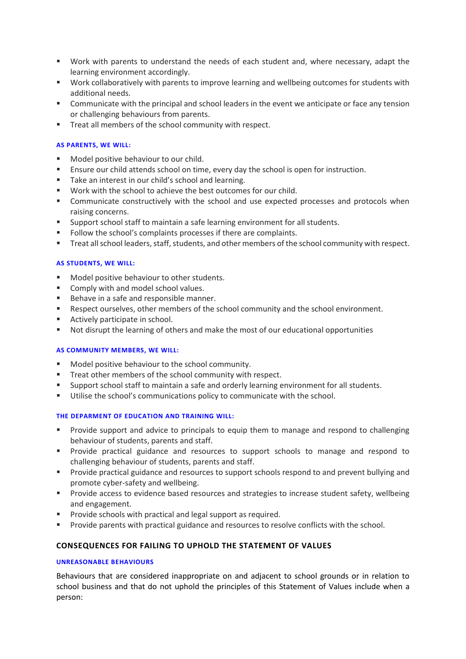- Work with parents to understand the needs of each student and, where necessary, adapt the learning environment accordingly.
- Work collaboratively with parents to improve learning and wellbeing outcomes for students with additional needs.
- **•** Communicate with the principal and school leaders in the event we anticipate or face any tension or challenging behaviours from parents.
- Treat all members of the school community with respect.

#### **AS PARENTS, WE WILL:**

- Model positive behaviour to our child.
- **E** Ensure our child attends school on time, every day the school is open for instruction.
- Take an interest in our child's school and learning.
- Work with the school to achieve the best outcomes for our child.
- **EXECOMMUNICATE:** Communicate constructively with the school and use expected processes and protocols when raising concerns.
- Support school staff to maintain a safe learning environment for all students.
- Follow the school's complaints processes if there are complaints.
- Treat all school leaders, staff, students, and other members of the school community with respect.

#### **AS STUDENTS, WE WILL:**

- Model positive behaviour to other students.
- Comply with and model school values.
- Behave in a safe and responsible manner.
- Respect ourselves, other members of the school community and the school environment.
- Actively participate in school.
- Not disrupt the learning of others and make the most of our educational opportunities

#### **AS COMMUNITY MEMBERS, WE WILL:**

- Model positive behaviour to the school community.
- Treat other members of the school community with respect.
- Support school staff to maintain a safe and orderly learning environment for all students.
- Utilise the school's communications policy to communicate with the school.

#### **THE DEPARMENT OF EDUCATION AND TRAINING WILL:**

- **•** Provide support and advice to principals to equip them to manage and respond to challenging behaviour of students, parents and staff.
- Provide practical guidance and resources to support schools to manage and respond to challenging behaviour of students, parents and staff.
- **•** Provide practical guidance and resources to support schools respond to and prevent bullying and promote cyber-safety and wellbeing.
- Provide access to evidence based resources and strategies to increase student safety, wellbeing and engagement.
- Provide schools with practical and legal support as required.
- **•** Provide parents with practical guidance and resources to resolve conflicts with the school.

#### **CONSEQUENCES FOR FAILING TO UPHOLD THE STATEMENT OF VALUES**

#### **UNREASONABLE BEHAVIOURS**

Behaviours that are considered inappropriate on and adjacent to school grounds or in relation to school business and that do not uphold the principles of this Statement of Values include when a person: